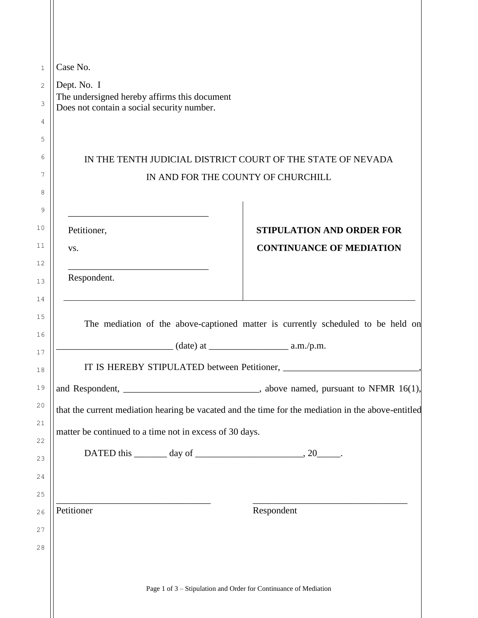| Case No.                                                    |                                                                                                    |
|-------------------------------------------------------------|----------------------------------------------------------------------------------------------------|
| Dept. No. I<br>The undersigned hereby affirms this document |                                                                                                    |
| Does not contain a social security number.                  |                                                                                                    |
|                                                             |                                                                                                    |
|                                                             |                                                                                                    |
|                                                             | IN THE TENTH JUDICIAL DISTRICT COURT OF THE STATE OF NEVADA<br>IN AND FOR THE COUNTY OF CHURCHILL  |
|                                                             |                                                                                                    |
|                                                             |                                                                                                    |
| Petitioner,                                                 | <b>STIPULATION AND ORDER FOR</b>                                                                   |
| VS.                                                         | <b>CONTINUANCE OF MEDIATION</b>                                                                    |
|                                                             |                                                                                                    |
| Respondent.                                                 |                                                                                                    |
|                                                             | The mediation of the above-captioned matter is currently scheduled to be held on                   |
|                                                             |                                                                                                    |
|                                                             | and Respondent, ___________________________________, above named, pursuant to NFMR 16(1),          |
|                                                             | that the current mediation hearing be vacated and the time for the mediation in the above-entitled |
| matter be continued to a time not in excess of 30 days.     |                                                                                                    |
|                                                             |                                                                                                    |
|                                                             |                                                                                                    |
|                                                             |                                                                                                    |
|                                                             |                                                                                                    |
| Petitioner                                                  | Respondent                                                                                         |
|                                                             |                                                                                                    |
|                                                             |                                                                                                    |
|                                                             |                                                                                                    |
|                                                             | Page 1 of 3 - Stipulation and Order for Continuance of Mediation                                   |
|                                                             |                                                                                                    |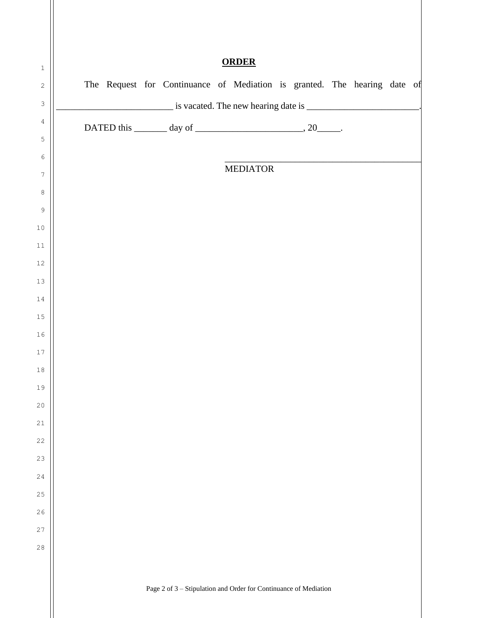| <b>ORDER</b> |  |  |  |  |  |  |  |                                                                          |  |  |  |  |  |
|--------------|--|--|--|--|--|--|--|--------------------------------------------------------------------------|--|--|--|--|--|
|              |  |  |  |  |  |  |  | The Request for Continuance of Mediation is granted. The hearing date of |  |  |  |  |  |
|              |  |  |  |  |  |  |  |                                                                          |  |  |  |  |  |
|              |  |  |  |  |  |  |  | DATED this $\_\_\_\_$ day of $\_\_\_\_\_\_\_$ , 20 $\_\_\_\_\_$ .        |  |  |  |  |  |
|              |  |  |  |  |  |  |  |                                                                          |  |  |  |  |  |
|              |  |  |  |  |  |  |  | <b>MEDIATOR</b>                                                          |  |  |  |  |  |
|              |  |  |  |  |  |  |  |                                                                          |  |  |  |  |  |
|              |  |  |  |  |  |  |  |                                                                          |  |  |  |  |  |
|              |  |  |  |  |  |  |  |                                                                          |  |  |  |  |  |
|              |  |  |  |  |  |  |  |                                                                          |  |  |  |  |  |
|              |  |  |  |  |  |  |  |                                                                          |  |  |  |  |  |
|              |  |  |  |  |  |  |  |                                                                          |  |  |  |  |  |
|              |  |  |  |  |  |  |  |                                                                          |  |  |  |  |  |
|              |  |  |  |  |  |  |  |                                                                          |  |  |  |  |  |
|              |  |  |  |  |  |  |  |                                                                          |  |  |  |  |  |
|              |  |  |  |  |  |  |  |                                                                          |  |  |  |  |  |
|              |  |  |  |  |  |  |  |                                                                          |  |  |  |  |  |
|              |  |  |  |  |  |  |  |                                                                          |  |  |  |  |  |
|              |  |  |  |  |  |  |  |                                                                          |  |  |  |  |  |
|              |  |  |  |  |  |  |  |                                                                          |  |  |  |  |  |
|              |  |  |  |  |  |  |  |                                                                          |  |  |  |  |  |
|              |  |  |  |  |  |  |  |                                                                          |  |  |  |  |  |
|              |  |  |  |  |  |  |  |                                                                          |  |  |  |  |  |
|              |  |  |  |  |  |  |  |                                                                          |  |  |  |  |  |
|              |  |  |  |  |  |  |  |                                                                          |  |  |  |  |  |
|              |  |  |  |  |  |  |  |                                                                          |  |  |  |  |  |